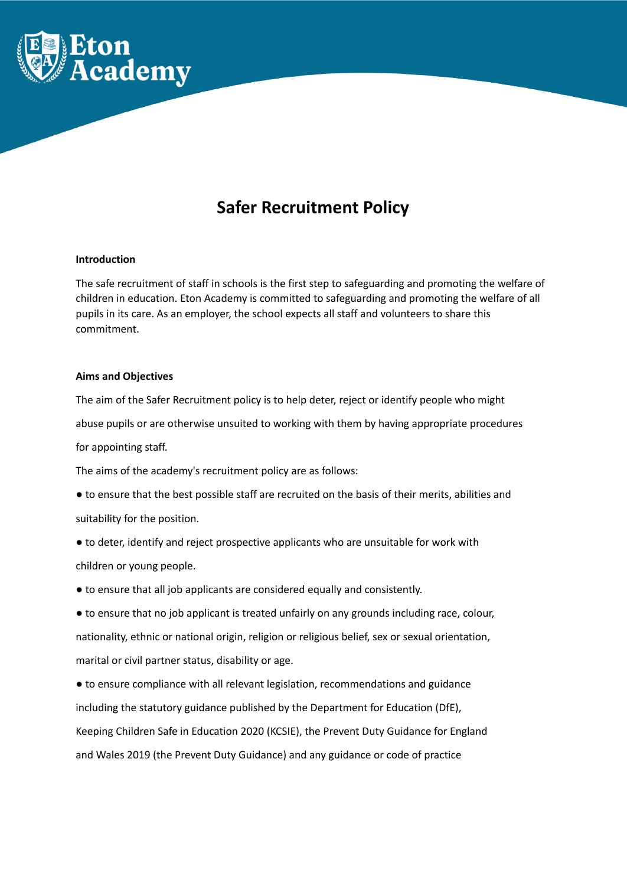

# **Safer Recruitment Policy**

## **Introduction**

The safe recruitment of staff in schools is the first step to safeguarding and promoting the welfare of children in education. Eton Academy is committed to safeguarding and promoting the welfare of all pupils in its care. As an employer, the school expects all staff and volunteers to share this commitment.

## **Aims and Objectives**

The aim of the Safer Recruitment policy is to help deter, reject or identify people who might abuse pupils or are otherwise unsuited to working with them by having appropriate procedures for appointing staff.

The aims of the academy's recruitment policy are as follows:

- to ensure that the best possible staff are recruited on the basis of their merits, abilities and suitability for the position.
- to deter, identify and reject prospective applicants who are unsuitable for work with children or young people.
- to ensure that all job applicants are considered equally and consistently.
- to ensure that no job applicant is treated unfairly on any grounds including race, colour, nationality, ethnic or national origin, religion or religious belief, sex or sexual orientation, marital or civil partner status, disability or age.

● to ensure compliance with all relevant legislation, recommendations and guidance including the statutory guidance published by the Department for Education (DfE), Keeping Children Safe in Education 2020 (KCSIE), the Prevent Duty Guidance for England and Wales 2019 (the Prevent Duty Guidance) and any guidance or code of practice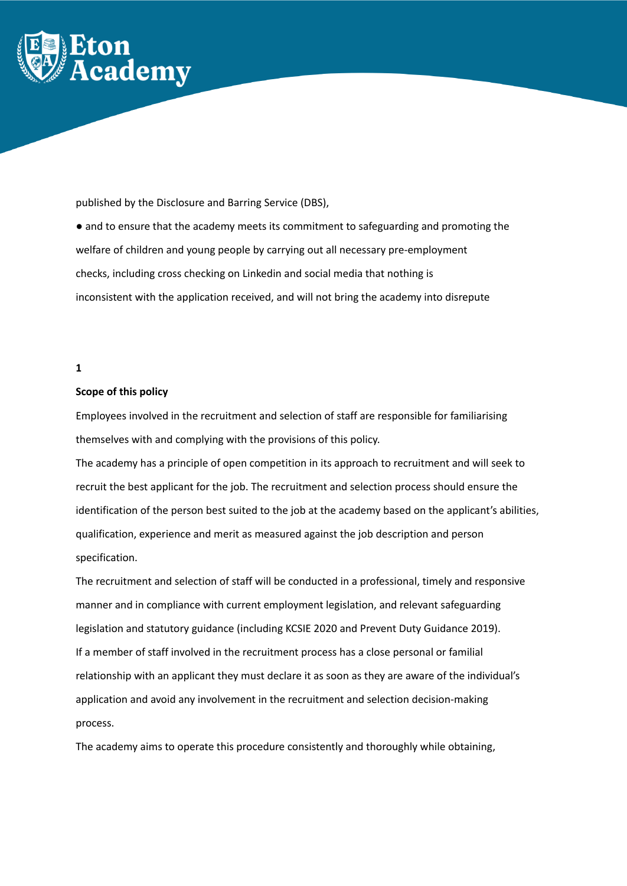

published by the Disclosure and Barring Service (DBS),

● and to ensure that the academy meets its commitment to safeguarding and promoting the welfare of children and young people by carrying out all necessary pre-employment checks, including cross checking on Linkedin and social media that nothing is inconsistent with the application received, and will not bring the academy into disrepute

# **1**

## **Scope of this policy**

Employees involved in the recruitment and selection of staff are responsible for familiarising themselves with and complying with the provisions of this policy.

The academy has a principle of open competition in its approach to recruitment and will seek to recruit the best applicant for the job. The recruitment and selection process should ensure the identification of the person best suited to the job at the academy based on the applicant's abilities, qualification, experience and merit as measured against the job description and person specification.

The recruitment and selection of staff will be conducted in a professional, timely and responsive manner and in compliance with current employment legislation, and relevant safeguarding legislation and statutory guidance (including KCSIE 2020 and Prevent Duty Guidance 2019). If a member of staff involved in the recruitment process has a close personal or familial relationship with an applicant they must declare it as soon as they are aware of the individual's application and avoid any involvement in the recruitment and selection decision-making process.

The academy aims to operate this procedure consistently and thoroughly while obtaining,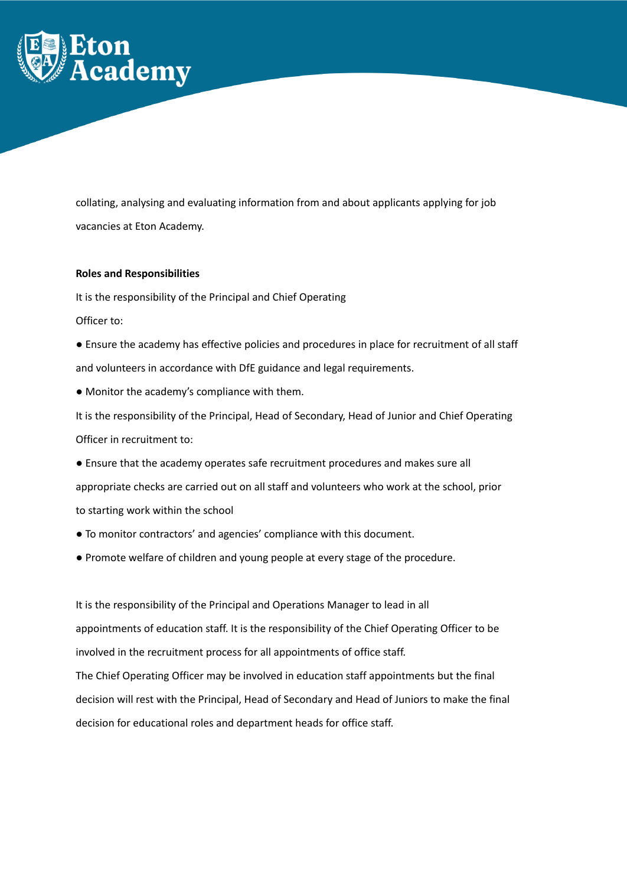

collating, analysing and evaluating information from and about applicants applying for job vacancies at Eton Academy.

## **Roles and Responsibilities**

It is the responsibility of the Principal and Chief Operating

Officer to:

- Ensure the academy has effective policies and procedures in place for recruitment of all staff and volunteers in accordance with DfE guidance and legal requirements.
- Monitor the academy's compliance with them.

It is the responsibility of the Principal, Head of Secondary, Head of Junior and Chief Operating Officer in recruitment to:

- Ensure that the academy operates safe recruitment procedures and makes sure all appropriate checks are carried out on all staff and volunteers who work at the school, prior to starting work within the school
- To monitor contractors' and agencies' compliance with this document.
- Promote welfare of children and young people at every stage of the procedure.

It is the responsibility of the Principal and Operations Manager to lead in all appointments of education staff. It is the responsibility of the Chief Operating Officer to be involved in the recruitment process for all appointments of office staff. The Chief Operating Officer may be involved in education staff appointments but the final decision will rest with the Principal, Head of Secondary and Head of Juniors to make the final decision for educational roles and department heads for office staff.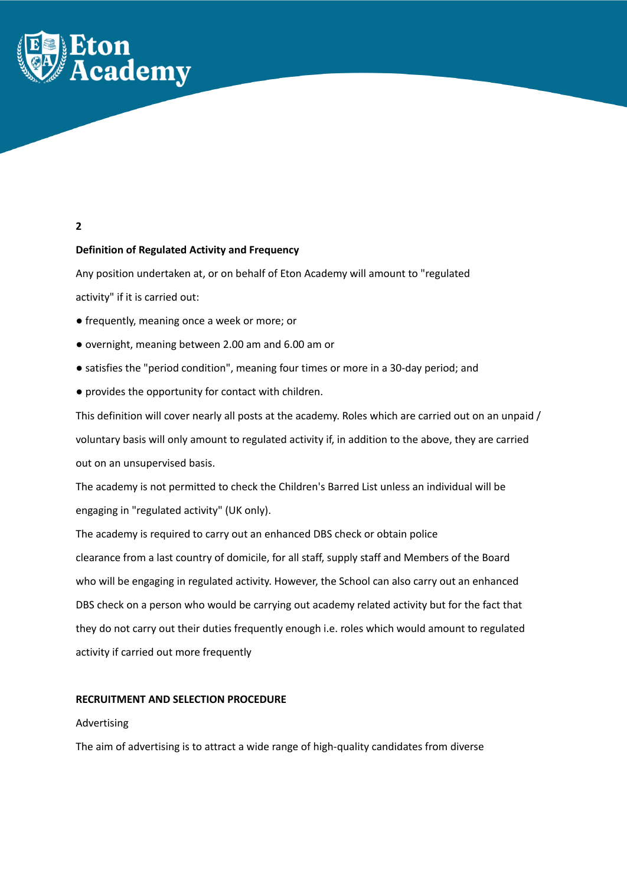

# **2**

# **Definition of Regulated Activity and Frequency**

Any position undertaken at, or on behalf of Eton Academy will amount to "regulated activity" if it is carried out:

- frequently, meaning once a week or more; or
- overnight, meaning between 2.00 am and 6.00 am or
- satisfies the "period condition", meaning four times or more in a 30-day period; and
- provides the opportunity for contact with children.

This definition will cover nearly all posts at the academy. Roles which are carried out on an unpaid / voluntary basis will only amount to regulated activity if, in addition to the above, they are carried out on an unsupervised basis.

The academy is not permitted to check the Children's Barred List unless an individual will be engaging in "regulated activity" (UK only).

The academy is required to carry out an enhanced DBS check or obtain police clearance from a last country of domicile, for all staff, supply staff and Members of the Board who will be engaging in regulated activity. However, the School can also carry out an enhanced DBS check on a person who would be carrying out academy related activity but for the fact that they do not carry out their duties frequently enough i.e. roles which would amount to regulated activity if carried out more frequently

## **RECRUITMENT AND SELECTION PROCEDURE**

## Advertising

The aim of advertising is to attract a wide range of high-quality candidates from diverse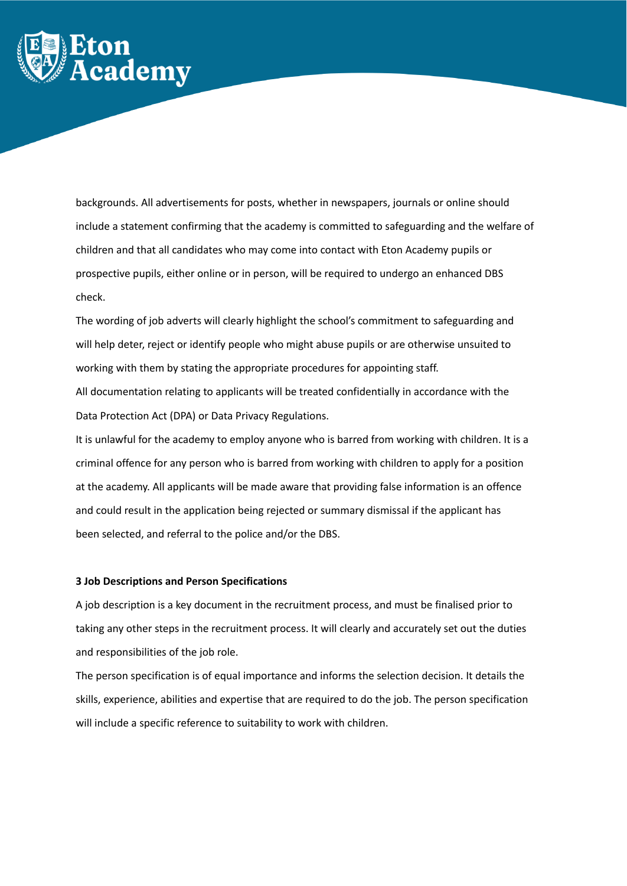

backgrounds. All advertisements for posts, whether in newspapers, journals or online should include a statement confirming that the academy is committed to safeguarding and the welfare of children and that all candidates who may come into contact with Eton Academy pupils or prospective pupils, either online or in person, will be required to undergo an enhanced DBS check.

The wording of job adverts will clearly highlight the school's commitment to safeguarding and will help deter, reject or identify people who might abuse pupils or are otherwise unsuited to working with them by stating the appropriate procedures for appointing staff.

All documentation relating to applicants will be treated confidentially in accordance with the Data Protection Act (DPA) or Data Privacy Regulations.

It is unlawful for the academy to employ anyone who is barred from working with children. It is a criminal offence for any person who is barred from working with children to apply for a position at the academy. All applicants will be made aware that providing false information is an offence and could result in the application being rejected or summary dismissal if the applicant has been selected, and referral to the police and/or the DBS.

## **3 Job Descriptions and Person Specifications**

A job description is a key document in the recruitment process, and must be finalised prior to taking any other steps in the recruitment process. It will clearly and accurately set out the duties and responsibilities of the job role.

The person specification is of equal importance and informs the selection decision. It details the skills, experience, abilities and expertise that are required to do the job. The person specification will include a specific reference to suitability to work with children.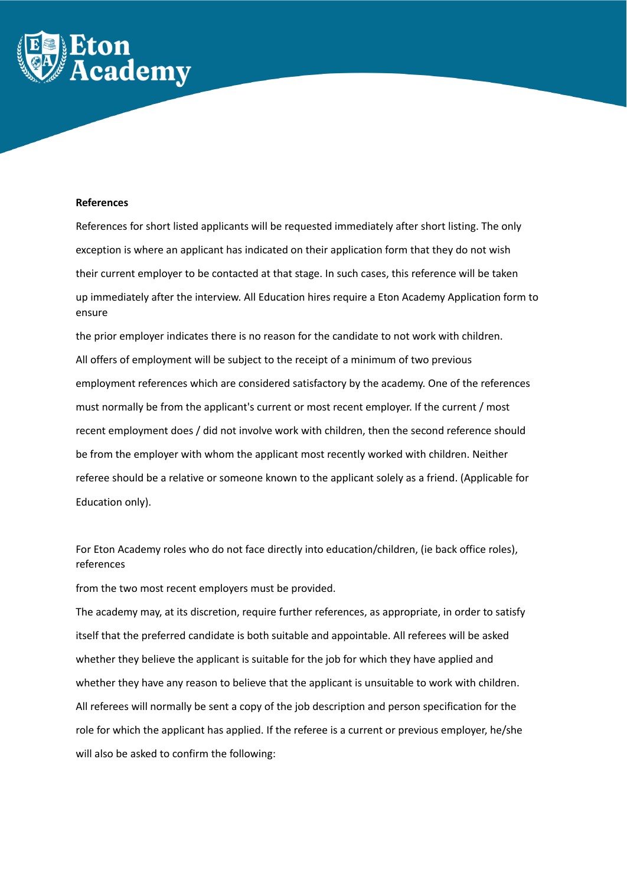

#### **References**

References for short listed applicants will be requested immediately after short listing. The only exception is where an applicant has indicated on their application form that they do not wish their current employer to be contacted at that stage. In such cases, this reference will be taken up immediately after the interview. All Education hires require a Eton Academy Application form to ensure

the prior employer indicates there is no reason for the candidate to not work with children. All offers of employment will be subject to the receipt of a minimum of two previous employment references which are considered satisfactory by the academy. One of the references must normally be from the applicant's current or most recent employer. If the current / most recent employment does / did not involve work with children, then the second reference should be from the employer with whom the applicant most recently worked with children. Neither referee should be a relative or someone known to the applicant solely as a friend. (Applicable for Education only).

For Eton Academy roles who do not face directly into education/children, (ie back office roles), references

from the two most recent employers must be provided.

The academy may, at its discretion, require further references, as appropriate, in order to satisfy itself that the preferred candidate is both suitable and appointable. All referees will be asked whether they believe the applicant is suitable for the job for which they have applied and whether they have any reason to believe that the applicant is unsuitable to work with children. All referees will normally be sent a copy of the job description and person specification for the role for which the applicant has applied. If the referee is a current or previous employer, he/she will also be asked to confirm the following: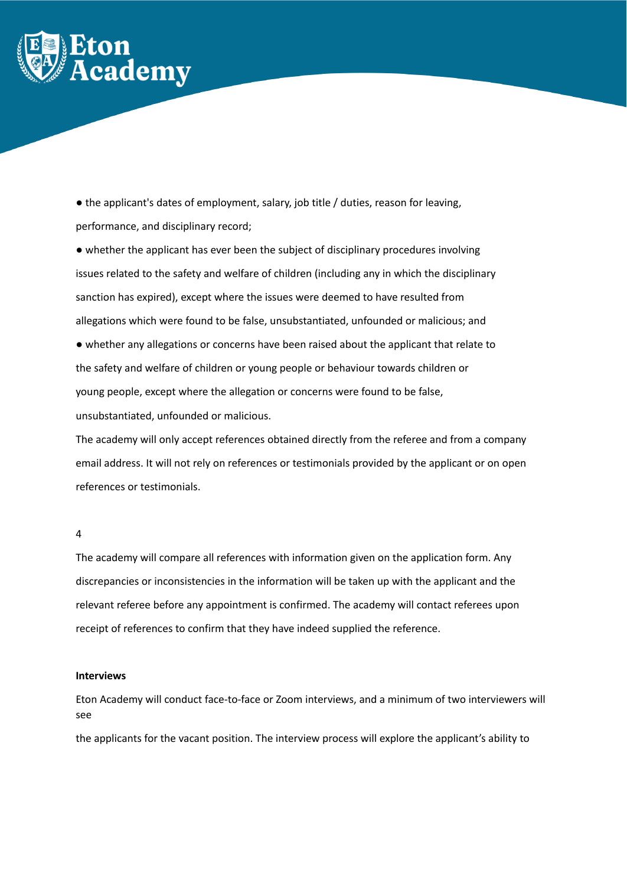

● the applicant's dates of employment, salary, job title / duties, reason for leaving, performance, and disciplinary record;

● whether the applicant has ever been the subject of disciplinary procedures involving issues related to the safety and welfare of children (including any in which the disciplinary sanction has expired), except where the issues were deemed to have resulted from allegations which were found to be false, unsubstantiated, unfounded or malicious; and

● whether any allegations or concerns have been raised about the applicant that relate to the safety and welfare of children or young people or behaviour towards children or young people, except where the allegation or concerns were found to be false, unsubstantiated, unfounded or malicious.

The academy will only accept references obtained directly from the referee and from a company email address. It will not rely on references or testimonials provided by the applicant or on open references or testimonials.

## 4

The academy will compare all references with information given on the application form. Any discrepancies or inconsistencies in the information will be taken up with the applicant and the relevant referee before any appointment is confirmed. The academy will contact referees upon receipt of references to confirm that they have indeed supplied the reference.

#### **Interviews**

Eton Academy will conduct face-to-face or Zoom interviews, and a minimum of two interviewers will see

the applicants for the vacant position. The interview process will explore the applicant's ability to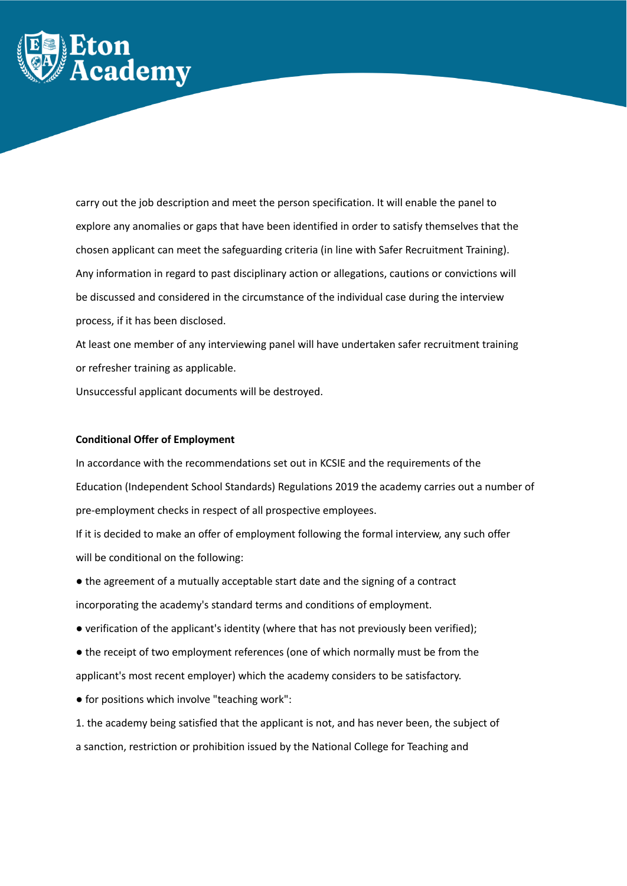

carry out the job description and meet the person specification. It will enable the panel to explore any anomalies or gaps that have been identified in order to satisfy themselves that the chosen applicant can meet the safeguarding criteria (in line with Safer Recruitment Training). Any information in regard to past disciplinary action or allegations, cautions or convictions will be discussed and considered in the circumstance of the individual case during the interview process, if it has been disclosed.

At least one member of any interviewing panel will have undertaken safer recruitment training or refresher training as applicable.

Unsuccessful applicant documents will be destroyed.

## **Conditional Offer of Employment**

In accordance with the recommendations set out in KCSIE and the requirements of the Education (Independent School Standards) Regulations 2019 the academy carries out a number of pre-employment checks in respect of all prospective employees.

If it is decided to make an offer of employment following the formal interview, any such offer will be conditional on the following:

- the agreement of a mutually acceptable start date and the signing of a contract incorporating the academy's standard terms and conditions of employment.
- verification of the applicant's identity (where that has not previously been verified);
- the receipt of two employment references (one of which normally must be from the applicant's most recent employer) which the academy considers to be satisfactory.
- for positions which involve "teaching work":
- 1. the academy being satisfied that the applicant is not, and has never been, the subject of a sanction, restriction or prohibition issued by the National College for Teaching and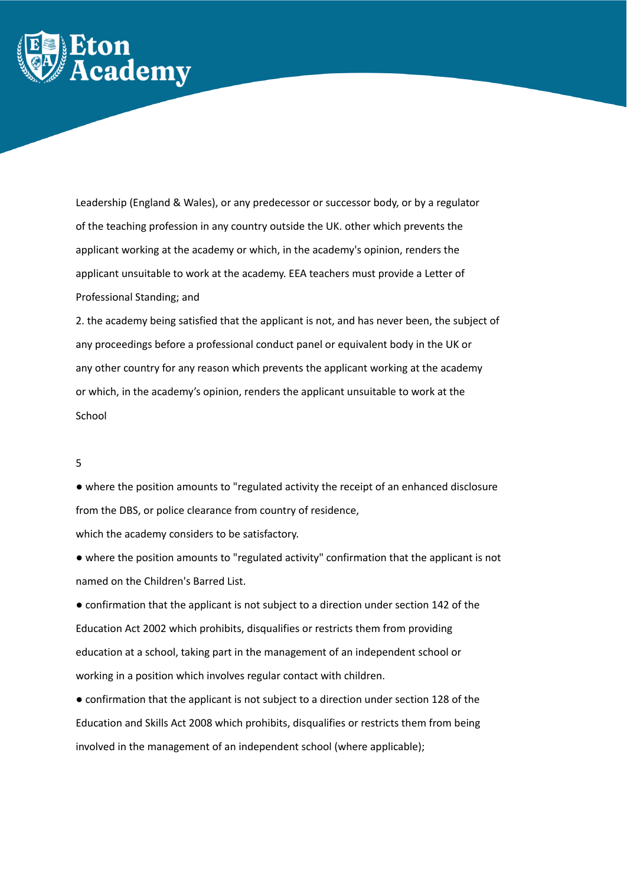

Leadership (England & Wales), or any predecessor or successor body, or by a regulator of the teaching profession in any country outside the UK. other which prevents the applicant working at the academy or which, in the academy's opinion, renders the applicant unsuitable to work at the academy. EEA teachers must provide a Letter of Professional Standing; and

2. the academy being satisfied that the applicant is not, and has never been, the subject of any proceedings before a professional conduct panel or equivalent body in the UK or any other country for any reason which prevents the applicant working at the academy or which, in the academy's opinion, renders the applicant unsuitable to work at the School

## 5

● where the position amounts to "regulated activity the receipt of an enhanced disclosure from the DBS, or police clearance from country of residence,

which the academy considers to be satisfactory.

● where the position amounts to "regulated activity" confirmation that the applicant is not named on the Children's Barred List.

● confirmation that the applicant is not subject to a direction under section 142 of the Education Act 2002 which prohibits, disqualifies or restricts them from providing education at a school, taking part in the management of an independent school or working in a position which involves regular contact with children.

● confirmation that the applicant is not subject to a direction under section 128 of the Education and Skills Act 2008 which prohibits, disqualifies or restricts them from being involved in the management of an independent school (where applicable);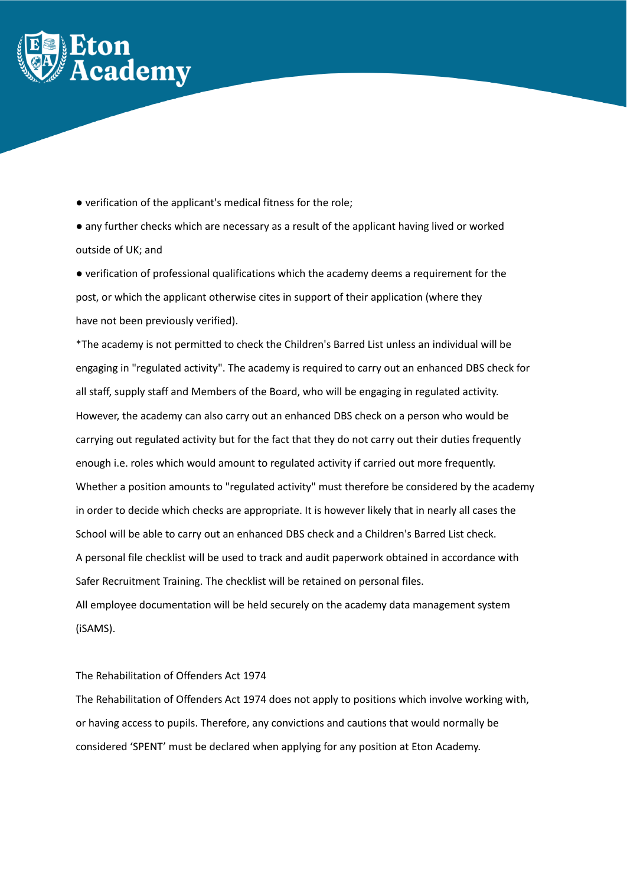

● verification of the applicant's medical fitness for the role;

● any further checks which are necessary as a result of the applicant having lived or worked outside of UK; and

● verification of professional qualifications which the academy deems a requirement for the post, or which the applicant otherwise cites in support of their application (where they have not been previously verified).

\*The academy is not permitted to check the Children's Barred List unless an individual will be engaging in "regulated activity". The academy is required to carry out an enhanced DBS check for all staff, supply staff and Members of the Board, who will be engaging in regulated activity. However, the academy can also carry out an enhanced DBS check on a person who would be carrying out regulated activity but for the fact that they do not carry out their duties frequently enough i.e. roles which would amount to regulated activity if carried out more frequently. Whether a position amounts to "regulated activity" must therefore be considered by the academy in order to decide which checks are appropriate. It is however likely that in nearly all cases the School will be able to carry out an enhanced DBS check and a Children's Barred List check. A personal file checklist will be used to track and audit paperwork obtained in accordance with Safer Recruitment Training. The checklist will be retained on personal files. All employee documentation will be held securely on the academy data management system (iSAMS).

# The Rehabilitation of Offenders Act 1974

The Rehabilitation of Offenders Act 1974 does not apply to positions which involve working with, or having access to pupils. Therefore, any convictions and cautions that would normally be considered 'SPENT' must be declared when applying for any position at Eton Academy.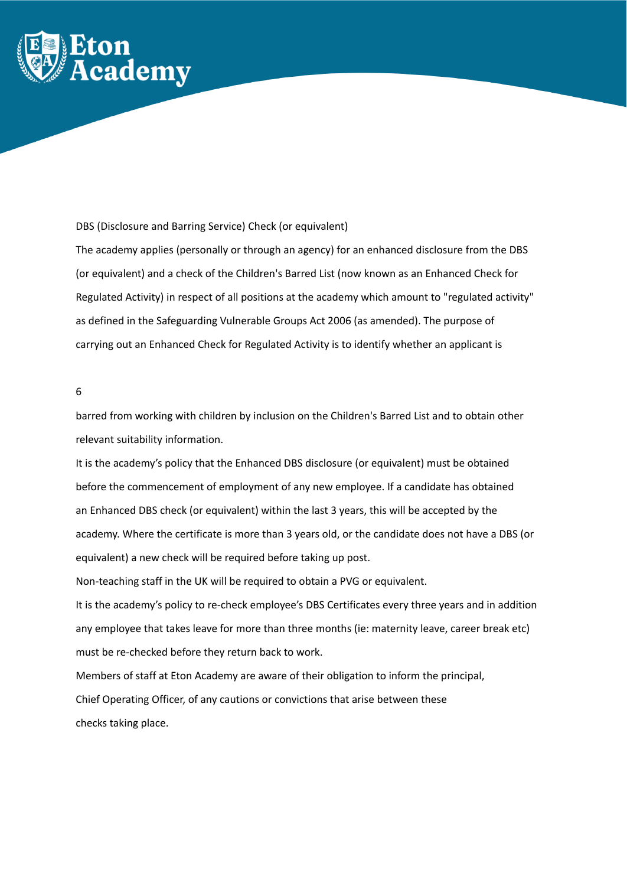

DBS (Disclosure and Barring Service) Check (or equivalent)

The academy applies (personally or through an agency) for an enhanced disclosure from the DBS (or equivalent) and a check of the Children's Barred List (now known as an Enhanced Check for Regulated Activity) in respect of all positions at the academy which amount to "regulated activity" as defined in the Safeguarding Vulnerable Groups Act 2006 (as amended). The purpose of carrying out an Enhanced Check for Regulated Activity is to identify whether an applicant is

## 6

barred from working with children by inclusion on the Children's Barred List and to obtain other relevant suitability information.

It is the academy's policy that the Enhanced DBS disclosure (or equivalent) must be obtained before the commencement of employment of any new employee. If a candidate has obtained an Enhanced DBS check (or equivalent) within the last 3 years, this will be accepted by the academy. Where the certificate is more than 3 years old, or the candidate does not have a DBS (or equivalent) a new check will be required before taking up post.

Non-teaching staff in the UK will be required to obtain a PVG or equivalent.

It is the academy's policy to re-check employee's DBS Certificates every three years and in addition any employee that takes leave for more than three months (ie: maternity leave, career break etc) must be re-checked before they return back to work.

Members of staff at Eton Academy are aware of their obligation to inform the principal, Chief Operating Officer, of any cautions or convictions that arise between these checks taking place.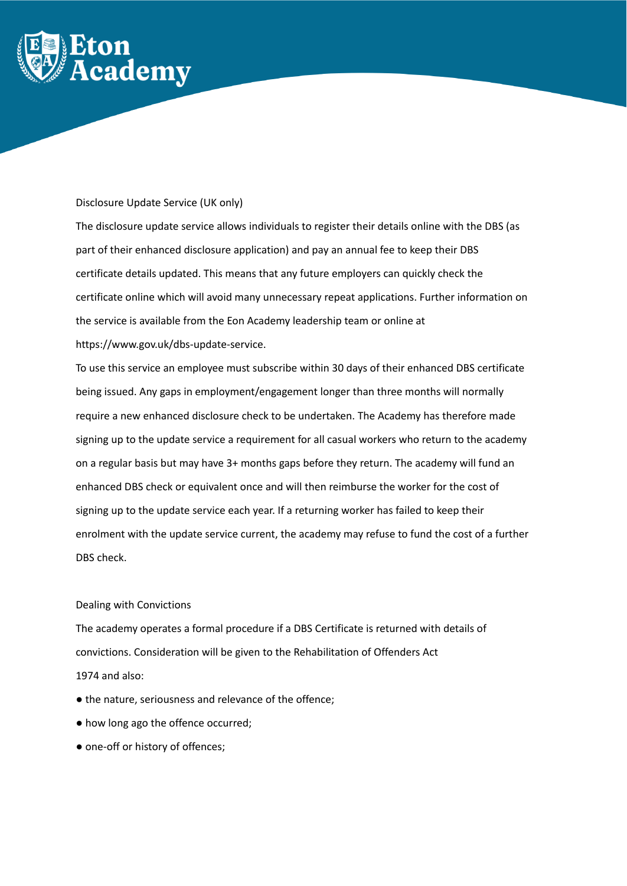

## Disclosure Update Service (UK only)

The disclosure update service allows individuals to register their details online with the DBS (as part of their enhanced disclosure application) and pay an annual fee to keep their DBS certificate details updated. This means that any future employers can quickly check the certificate online which will avoid many unnecessary repeat applications. Further information on the service is available from the Eon Academy leadership team or online at https://www.gov.uk/dbs-update-service.

To use this service an employee must subscribe within 30 days of their enhanced DBS certificate being issued. Any gaps in employment/engagement longer than three months will normally require a new enhanced disclosure check to be undertaken. The Academy has therefore made signing up to the update service a requirement for all casual workers who return to the academy on a regular basis but may have 3+ months gaps before they return. The academy will fund an enhanced DBS check or equivalent once and will then reimburse the worker for the cost of signing up to the update service each year. If a returning worker has failed to keep their enrolment with the update service current, the academy may refuse to fund the cost of a further DBS check.

# Dealing with Convictions

The academy operates a formal procedure if a DBS Certificate is returned with details of convictions. Consideration will be given to the Rehabilitation of Offenders Act 1974 and also:

- the nature, seriousness and relevance of the offence;
- how long ago the offence occurred;
- one-off or history of offences;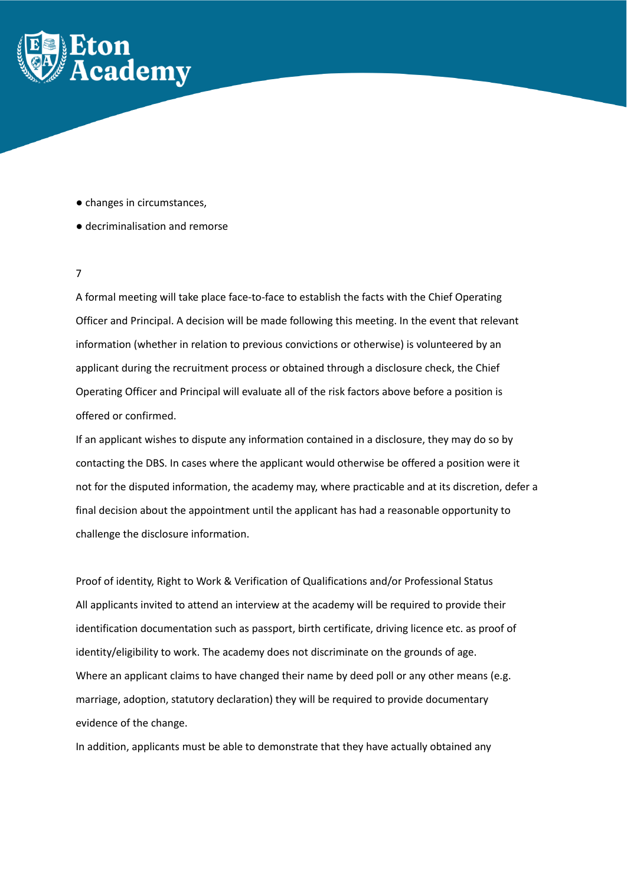

- changes in circumstances,
- decriminalisation and remorse

# 7

A formal meeting will take place face-to-face to establish the facts with the Chief Operating Officer and Principal. A decision will be made following this meeting. In the event that relevant information (whether in relation to previous convictions or otherwise) is volunteered by an applicant during the recruitment process or obtained through a disclosure check, the Chief Operating Officer and Principal will evaluate all of the risk factors above before a position is offered or confirmed.

If an applicant wishes to dispute any information contained in a disclosure, they may do so by contacting the DBS. In cases where the applicant would otherwise be offered a position were it not for the disputed information, the academy may, where practicable and at its discretion, defer a final decision about the appointment until the applicant has had a reasonable opportunity to challenge the disclosure information.

Proof of identity, Right to Work & Verification of Qualifications and/or Professional Status All applicants invited to attend an interview at the academy will be required to provide their identification documentation such as passport, birth certificate, driving licence etc. as proof of identity/eligibility to work. The academy does not discriminate on the grounds of age. Where an applicant claims to have changed their name by deed poll or any other means (e.g. marriage, adoption, statutory declaration) they will be required to provide documentary evidence of the change.

In addition, applicants must be able to demonstrate that they have actually obtained any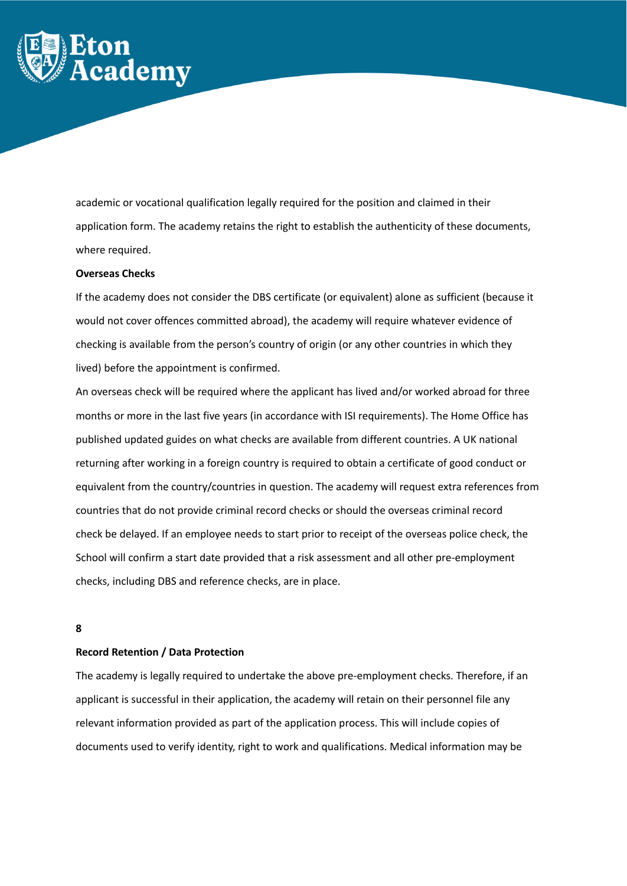

academic or vocational qualification legally required for the position and claimed in their application form. The academy retains the right to establish the authenticity of these documents, where required.

#### **Overseas Checks**

If the academy does not consider the DBS certificate (or equivalent) alone as sufficient (because it would not cover offences committed abroad), the academy will require whatever evidence of checking is available from the person's country of origin (or any other countries in which they lived) before the appointment is confirmed.

An overseas check will be required where the applicant has lived and/or worked abroad for three months or more in the last five years (in accordance with ISI requirements). The Home Office has published updated guides on what checks are available from different countries. A UK national returning after working in a foreign country is required to obtain a certificate of good conduct or equivalent from the country/countries in question. The academy will request extra references from countries that do not provide criminal record checks or should the overseas criminal record check be delayed. If an employee needs to start prior to receipt of the overseas police check, the School will confirm a start date provided that a risk assessment and all other pre-employment checks, including DBS and reference checks, are in place.

## **8**

## **Record Retention / Data Protection**

The academy is legally required to undertake the above pre-employment checks. Therefore, if an applicant is successful in their application, the academy will retain on their personnel file any relevant information provided as part of the application process. This will include copies of documents used to verify identity, right to work and qualifications. Medical information may be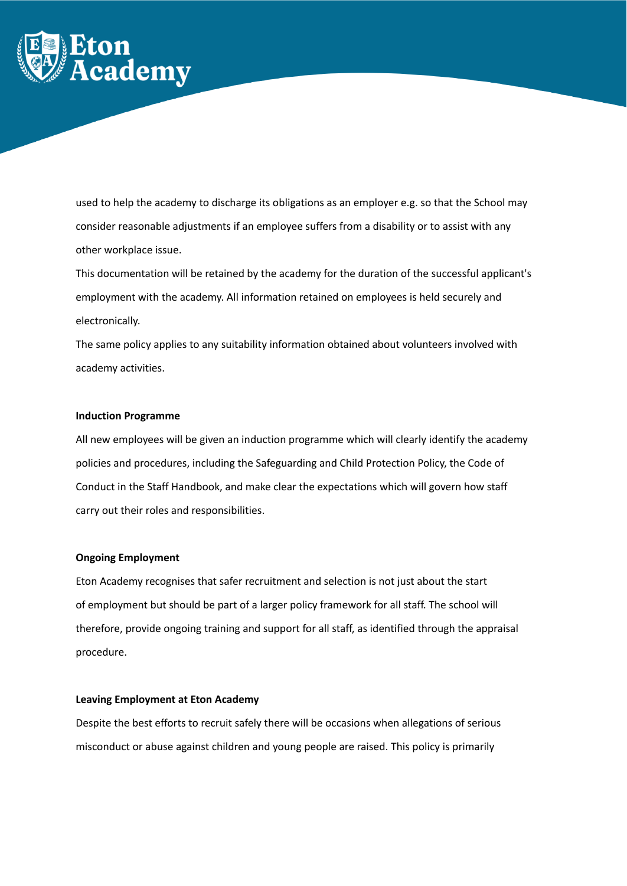

used to help the academy to discharge its obligations as an employer e.g. so that the School may consider reasonable adjustments if an employee suffers from a disability or to assist with any other workplace issue.

This documentation will be retained by the academy for the duration of the successful applicant's employment with the academy. All information retained on employees is held securely and electronically.

The same policy applies to any suitability information obtained about volunteers involved with academy activities.

## **Induction Programme**

All new employees will be given an induction programme which will clearly identify the academy policies and procedures, including the Safeguarding and Child Protection Policy, the Code of Conduct in the Staff Handbook, and make clear the expectations which will govern how staff carry out their roles and responsibilities.

## **Ongoing Employment**

Eton Academy recognises that safer recruitment and selection is not just about the start of employment but should be part of a larger policy framework for all staff. The school will therefore, provide ongoing training and support for all staff, as identified through the appraisal procedure.

## **Leaving Employment at Eton Academy**

Despite the best efforts to recruit safely there will be occasions when allegations of serious misconduct or abuse against children and young people are raised. This policy is primarily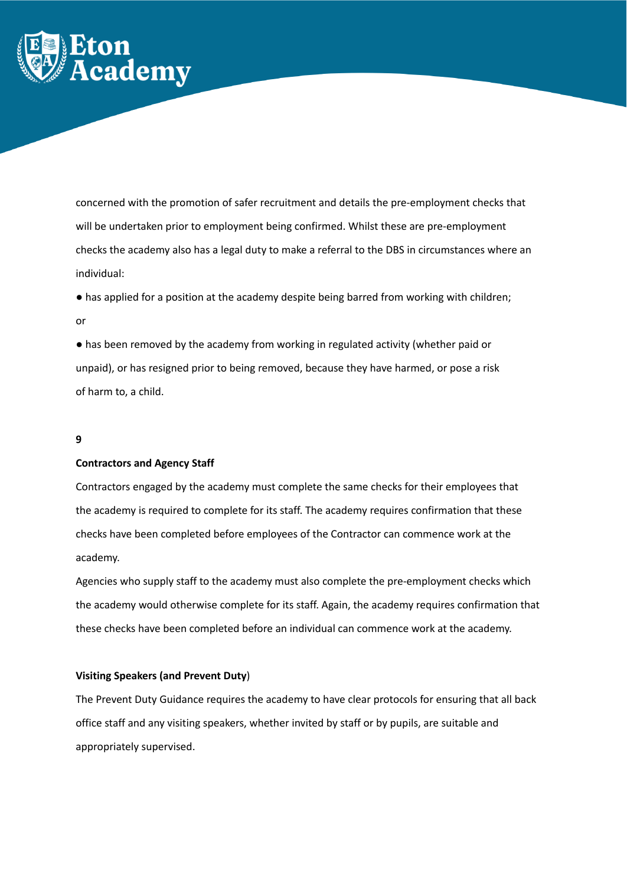

concerned with the promotion of safer recruitment and details the pre-employment checks that will be undertaken prior to employment being confirmed. Whilst these are pre-employment checks the academy also has a legal duty to make a referral to the DBS in circumstances where an individual:

● has applied for a position at the academy despite being barred from working with children; or

● has been removed by the academy from working in regulated activity (whether paid or unpaid), or has resigned prior to being removed, because they have harmed, or pose a risk of harm to, a child.

## **9**

## **Contractors and Agency Staff**

Contractors engaged by the academy must complete the same checks for their employees that the academy is required to complete for its staff. The academy requires confirmation that these checks have been completed before employees of the Contractor can commence work at the academy.

Agencies who supply staff to the academy must also complete the pre-employment checks which the academy would otherwise complete for its staff. Again, the academy requires confirmation that these checks have been completed before an individual can commence work at the academy.

## **Visiting Speakers (and Prevent Duty**)

The Prevent Duty Guidance requires the academy to have clear protocols for ensuring that all back office staff and any visiting speakers, whether invited by staff or by pupils, are suitable and appropriately supervised.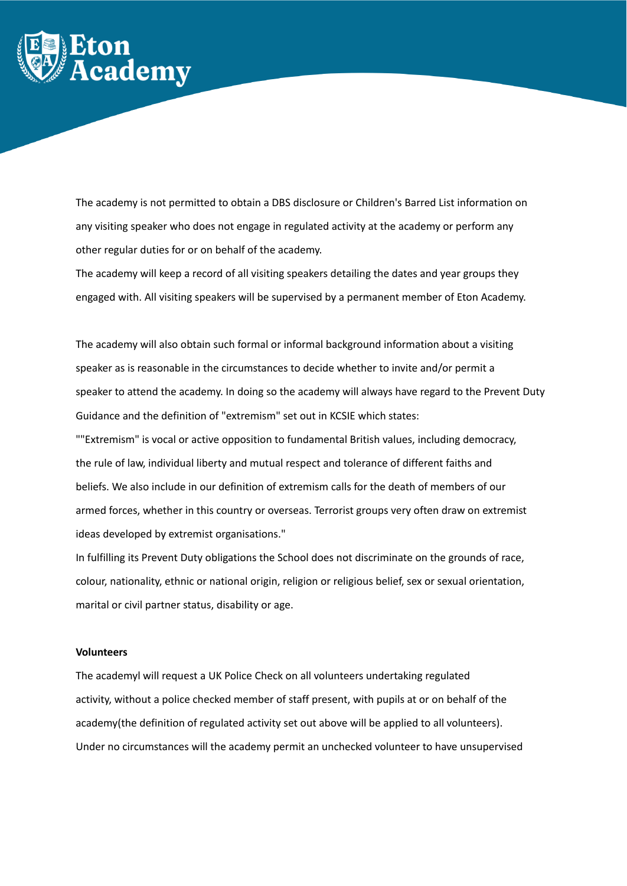

The academy is not permitted to obtain a DBS disclosure or Children's Barred List information on any visiting speaker who does not engage in regulated activity at the academy or perform any other regular duties for or on behalf of the academy.

The academy will keep a record of all visiting speakers detailing the dates and year groups they engaged with. All visiting speakers will be supervised by a permanent member of Eton Academy.

The academy will also obtain such formal or informal background information about a visiting speaker as is reasonable in the circumstances to decide whether to invite and/or permit a speaker to attend the academy. In doing so the academy will always have regard to the Prevent Duty Guidance and the definition of "extremism" set out in KCSIE which states: ""Extremism" is vocal or active opposition to fundamental British values, including democracy, the rule of law, individual liberty and mutual respect and tolerance of different faiths and beliefs. We also include in our definition of extremism calls for the death of members of our armed forces, whether in this country or overseas. Terrorist groups very often draw on extremist ideas developed by extremist organisations."

In fulfilling its Prevent Duty obligations the School does not discriminate on the grounds of race, colour, nationality, ethnic or national origin, religion or religious belief, sex or sexual orientation, marital or civil partner status, disability or age.

#### **Volunteers**

The academyl will request a UK Police Check on all volunteers undertaking regulated activity, without a police checked member of staff present, with pupils at or on behalf of the academy(the definition of regulated activity set out above will be applied to all volunteers). Under no circumstances will the academy permit an unchecked volunteer to have unsupervised